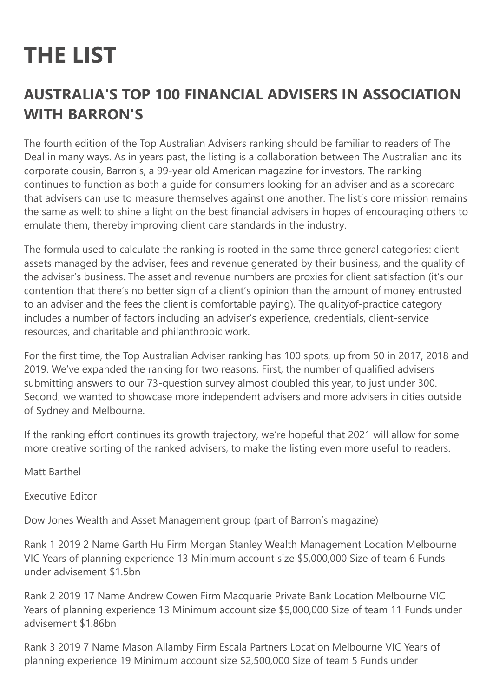## **THE LIST**

## **AUSTRALIA'S TOP 100 FINANCIAL ADVISERS IN ASSOCIATION WITH BARRON'S**

The fourth edition of the Top Australian Advisers ranking should be familiar to readers of The Deal in many ways. As in years past, the listing is a collaboration between The Australian and its corporate cousin, Barron's, a 99-year old American magazine for investors. The ranking continues to function as both a guide for consumers looking for an adviser and as a scorecard that advisers can use to measure themselves against one another. The list's core mission remains the same as well: to shine a light on the best financial advisers in hopes of encouraging others to emulate them, thereby improving client care standards in the industry.

The formula used to calculate the ranking is rooted in the same three general categories: client assets managed by the adviser, fees and revenue generated by their business, and the quality of the adviser's business. The asset and revenue numbers are proxies for client satisfaction (it's our contention that there's no better sign of a client's opinion than the amount of money entrusted to an adviser and the fees the client is comfortable paying). The qualityof-practice category includes a number of factors including an adviser's experience, credentials, client-service resources, and charitable and philanthropic work.

For the first time, the Top Australian Adviser ranking has 100 spots, up from 50 in 2017, 2018 and 2019. We've expanded the ranking for two reasons. First, the number of qualified advisers submitting answers to our 73-question survey almost doubled this year, to just under 300. Second, we wanted to showcase more independent advisers and more advisers in cities outside of Sydney and Melbourne.

If the ranking effort continues its growth trajectory, we're hopeful that 2021 will allow for some more creative sorting of the ranked advisers, to make the listing even more useful to readers.

Matt Barthel

Executive Editor

Dow Jones Wealth and Asset Management group (part of Barron's magazine)

Rank 1 2019 2 Name Garth Hu Firm Morgan Stanley Wealth Management Location Melbourne VIC Years of planning experience 13 Minimum account size \$5,000,000 Size of team 6 Funds under advisement \$1.5bn

Rank 2 2019 17 Name Andrew Cowen Firm Macquarie Private Bank Location Melbourne VIC Years of planning experience 13 Minimum account size \$5,000,000 Size of team 11 Funds under advisement \$1.86bn

Rank 3 2019 7 Name Mason Allamby Firm Escala Partners Location Melbourne VIC Years of planning experience 19 Minimum account size \$2,500,000 Size of team 5 Funds under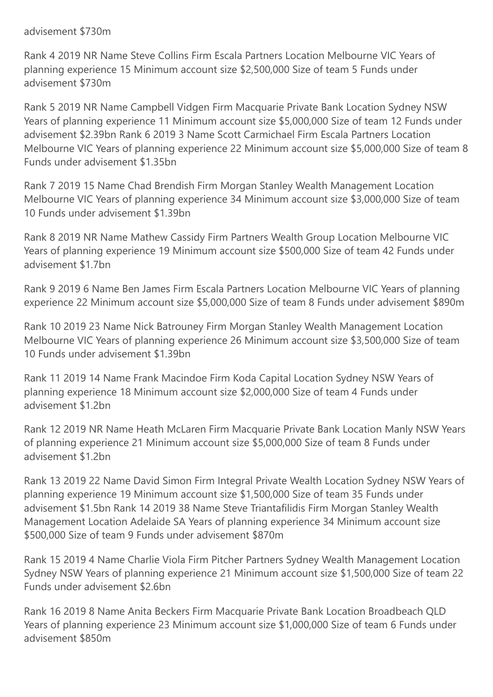## advisement \$730m

Rank 4 2019 NR Name Steve Collins Firm Escala Partners Location Melbourne VIC Years of planning experience 15 Minimum account size \$2,500,000 Size of team 5 Funds under advisement \$730m

Rank 5 2019 NR Name Campbell Vidgen Firm Macquarie Private Bank Location Sydney NSW Years of planning experience 11 Minimum account size \$5,000,000 Size of team 12 Funds under advisement \$2.39bn Rank 6 2019 3 Name Scott Carmichael Firm Escala Partners Location Melbourne VIC Years of planning experience 22 Minimum account size \$5,000,000 Size of team 8 Funds under advisement \$1.35bn

Rank 7 2019 15 Name Chad Brendish Firm Morgan Stanley Wealth Management Location Melbourne VIC Years of planning experience 34 Minimum account size \$3,000,000 Size of team 10 Funds under advisement \$1.39bn

Rank 8 2019 NR Name Mathew Cassidy Firm Partners Wealth Group Location Melbourne VIC Years of planning experience 19 Minimum account size \$500,000 Size of team 42 Funds under advisement \$1.7bn

Rank 9 2019 6 Name Ben James Firm Escala Partners Location Melbourne VIC Years of planning experience 22 Minimum account size \$5,000,000 Size of team 8 Funds under advisement \$890m

Rank 10 2019 23 Name Nick Batrouney Firm Morgan Stanley Wealth Management Location Melbourne VIC Years of planning experience 26 Minimum account size \$3,500,000 Size of team 10 Funds under advisement \$1.39bn

Rank 11 2019 14 Name Frank Macindoe Firm Koda Capital Location Sydney NSW Years of planning experience 18 Minimum account size \$2,000,000 Size of team 4 Funds under advisement \$1.2bn

Rank 12 2019 NR Name Heath McLaren Firm Macquarie Private Bank Location Manly NSW Years of planning experience 21 Minimum account size \$5,000,000 Size of team 8 Funds under advisement \$1.2bn

Rank 13 2019 22 Name David Simon Firm Integral Private Wealth Location Sydney NSW Years of planning experience 19 Minimum account size \$1,500,000 Size of team 35 Funds under advisement \$1.5bn Rank 14 2019 38 Name Steve Triantafilidis Firm Morgan Stanley Wealth Management Location Adelaide SA Years of planning experience 34 Minimum account size \$500,000 Size of team 9 Funds under advisement \$870m

Rank 15 2019 4 Name Charlie Viola Firm Pitcher Partners Sydney Wealth Management Location Sydney NSW Years of planning experience 21 Minimum account size \$1,500,000 Size of team 22 Funds under advisement \$2.6bn

Rank 16 2019 8 Name Anita Beckers Firm Macquarie Private Bank Location Broadbeach QLD Years of planning experience 23 Minimum account size \$1,000,000 Size of team 6 Funds under advisement \$850m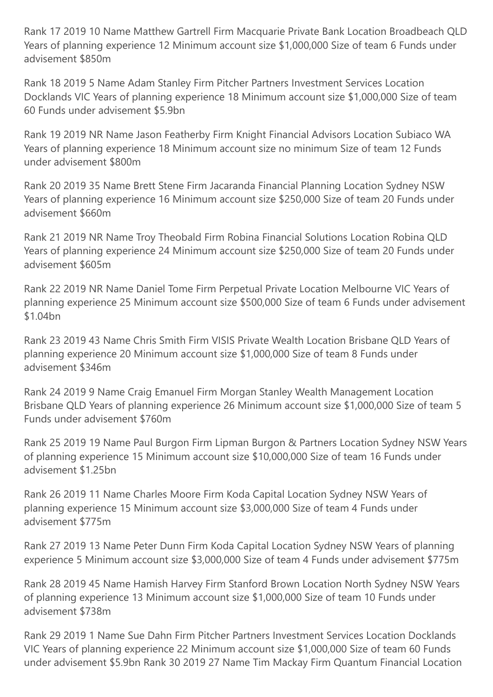Rank 17 2019 10 Name Matthew Gartrell Firm Macquarie Private Bank Location Broadbeach QLD Years of planning experience 12 Minimum account size \$1,000,000 Size of team 6 Funds under advisement \$850m

Rank 18 2019 5 Name Adam Stanley Firm Pitcher Partners Investment Services Location Docklands VIC Years of planning experience 18 Minimum account size \$1,000,000 Size of team 60 Funds under advisement \$5.9bn

Rank 19 2019 NR Name Jason Featherby Firm Knight Financial Advisors Location Subiaco WA Years of planning experience 18 Minimum account size no minimum Size of team 12 Funds under advisement \$800m

Rank 20 2019 35 Name Brett Stene Firm Jacaranda Financial Planning Location Sydney NSW Years of planning experience 16 Minimum account size \$250,000 Size of team 20 Funds under advisement \$660m

Rank 21 2019 NR Name Troy Theobald Firm Robina Financial Solutions Location Robina QLD Years of planning experience 24 Minimum account size \$250,000 Size of team 20 Funds under advisement \$605m

Rank 22 2019 NR Name Daniel Tome Firm Perpetual Private Location Melbourne VIC Years of planning experience 25 Minimum account size \$500,000 Size of team 6 Funds under advisement \$1.04bn

Rank 23 2019 43 Name Chris Smith Firm VISIS Private Wealth Location Brisbane QLD Years of planning experience 20 Minimum account size \$1,000,000 Size of team 8 Funds under advisement \$346m

Rank 24 2019 9 Name Craig Emanuel Firm Morgan Stanley Wealth Management Location Brisbane QLD Years of planning experience 26 Minimum account size \$1,000,000 Size of team 5 Funds under advisement \$760m

Rank 25 2019 19 Name Paul Burgon Firm Lipman Burgon & Partners Location Sydney NSW Years of planning experience 15 Minimum account size \$10,000,000 Size of team 16 Funds under advisement \$1.25bn

Rank 26 2019 11 Name Charles Moore Firm Koda Capital Location Sydney NSW Years of planning experience 15 Minimum account size \$3,000,000 Size of team 4 Funds under advisement \$775m

Rank 27 2019 13 Name Peter Dunn Firm Koda Capital Location Sydney NSW Years of planning experience 5 Minimum account size \$3,000,000 Size of team 4 Funds under advisement \$775m

Rank 28 2019 45 Name Hamish Harvey Firm Stanford Brown Location North Sydney NSW Years of planning experience 13 Minimum account size \$1,000,000 Size of team 10 Funds under advisement \$738m

Rank 29 2019 1 Name Sue Dahn Firm Pitcher Partners Investment Services Location Docklands VIC Years of planning experience 22 Minimum account size \$1,000,000 Size of team 60 Funds under advisement \$5.9bn Rank 30 2019 27 Name Tim Mackay Firm Quantum Financial Location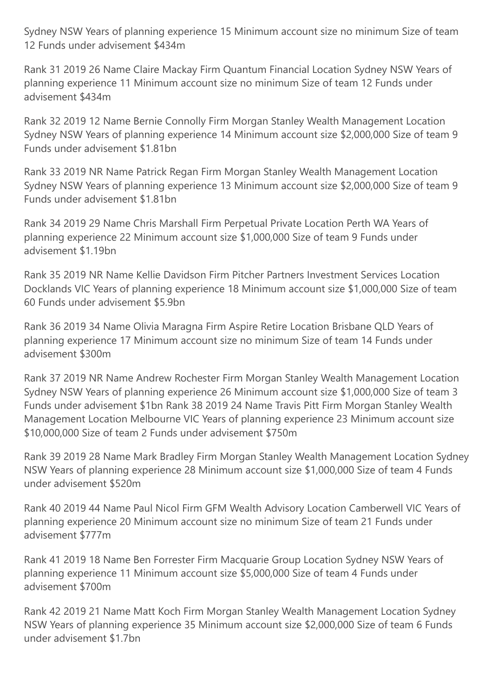Sydney NSW Years of planning experience 15 Minimum account size no minimum Size of team 12 Funds under advisement \$434m

Rank 31 2019 26 Name Claire Mackay Firm Quantum Financial Location Sydney NSW Years of planning experience 11 Minimum account size no minimum Size of team 12 Funds under advisement \$434m

Rank 32 2019 12 Name Bernie Connolly Firm Morgan Stanley Wealth Management Location Sydney NSW Years of planning experience 14 Minimum account size \$2,000,000 Size of team 9 Funds under advisement \$1.81bn

Rank 33 2019 NR Name Patrick Regan Firm Morgan Stanley Wealth Management Location Sydney NSW Years of planning experience 13 Minimum account size \$2,000,000 Size of team 9 Funds under advisement \$1.81bn

Rank 34 2019 29 Name Chris Marshall Firm Perpetual Private Location Perth WA Years of planning experience 22 Minimum account size \$1,000,000 Size of team 9 Funds under advisement \$1.19bn

Rank 35 2019 NR Name Kellie Davidson Firm Pitcher Partners Investment Services Location Docklands VIC Years of planning experience 18 Minimum account size \$1,000,000 Size of team 60 Funds under advisement \$5.9bn

Rank 36 2019 34 Name Olivia Maragna Firm Aspire Retire Location Brisbane QLD Years of planning experience 17 Minimum account size no minimum Size of team 14 Funds under advisement \$300m

Rank 37 2019 NR Name Andrew Rochester Firm Morgan Stanley Wealth Management Location Sydney NSW Years of planning experience 26 Minimum account size \$1,000,000 Size of team 3 Funds under advisement \$1bn Rank 38 2019 24 Name Travis Pitt Firm Morgan Stanley Wealth Management Location Melbourne VIC Years of planning experience 23 Minimum account size \$10,000,000 Size of team 2 Funds under advisement \$750m

Rank 39 2019 28 Name Mark Bradley Firm Morgan Stanley Wealth Management Location Sydney NSW Years of planning experience 28 Minimum account size \$1,000,000 Size of team 4 Funds under advisement \$520m

Rank 40 2019 44 Name Paul Nicol Firm GFM Wealth Advisory Location Camberwell VIC Years of planning experience 20 Minimum account size no minimum Size of team 21 Funds under advisement \$777m

Rank 41 2019 18 Name Ben Forrester Firm Macquarie Group Location Sydney NSW Years of planning experience 11 Minimum account size \$5,000,000 Size of team 4 Funds under advisement \$700m

Rank 42 2019 21 Name Matt Koch Firm Morgan Stanley Wealth Management Location Sydney NSW Years of planning experience 35 Minimum account size \$2,000,000 Size of team 6 Funds under advisement \$1.7bn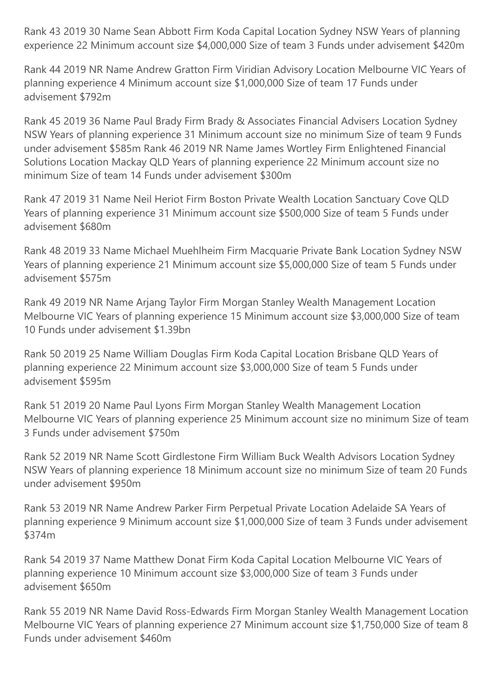Rank 43 2019 30 Name Sean Abbott Firm Koda Capital Location Sydney NSW Years of planning experience 22 Minimum account size \$4,000,000 Size of team 3 Funds under advisement \$420m

Rank 44 2019 NR Name Andrew Gratton Firm Viridian Advisory Location Melbourne VIC Years of planning experience 4 Minimum account size \$1,000,000 Size of team 17 Funds under advisement \$792m

Rank 45 2019 36 Name Paul Brady Firm Brady & Associates Financial Advisers Location Sydney NSW Years of planning experience 31 Minimum account size no minimum Size of team 9 Funds under advisement \$585m Rank 46 2019 NR Name James Wortley Firm Enlightened Financial Solutions Location Mackay QLD Years of planning experience 22 Minimum account size no minimum Size of team 14 Funds under advisement \$300m

Rank 47 2019 31 Name Neil Heriot Firm Boston Private Wealth Location Sanctuary Cove QLD Years of planning experience 31 Minimum account size \$500,000 Size of team 5 Funds under advisement \$680m

Rank 48 2019 33 Name Michael Muehlheim Firm Macquarie Private Bank Location Sydney NSW Years of planning experience 21 Minimum account size \$5,000,000 Size of team 5 Funds under advisement \$575m

Rank 49 2019 NR Name Arjang Taylor Firm Morgan Stanley Wealth Management Location Melbourne VIC Years of planning experience 15 Minimum account size \$3,000,000 Size of team 10 Funds under advisement \$1.39bn

Rank 50 2019 25 Name William Douglas Firm Koda Capital Location Brisbane QLD Years of planning experience 22 Minimum account size \$3,000,000 Size of team 5 Funds under advisement \$595m

Rank 51 2019 20 Name Paul Lyons Firm Morgan Stanley Wealth Management Location Melbourne VIC Years of planning experience 25 Minimum account size no minimum Size of team 3 Funds under advisement \$750m

Rank 52 2019 NR Name Scott Girdlestone Firm William Buck Wealth Advisors Location Sydney NSW Years of planning experience 18 Minimum account size no minimum Size of team 20 Funds under advisement \$950m

Rank 53 2019 NR Name Andrew Parker Firm Perpetual Private Location Adelaide SA Years of planning experience 9 Minimum account size \$1,000,000 Size of team 3 Funds under advisement \$374m

Rank 54 2019 37 Name Matthew Donat Firm Koda Capital Location Melbourne VIC Years of planning experience 10 Minimum account size \$3,000,000 Size of team 3 Funds under advisement \$650m

Rank 55 2019 NR Name David Ross-Edwards Firm Morgan Stanley Wealth Management Location Melbourne VIC Years of planning experience 27 Minimum account size \$1,750,000 Size of team 8 Funds under advisement \$460m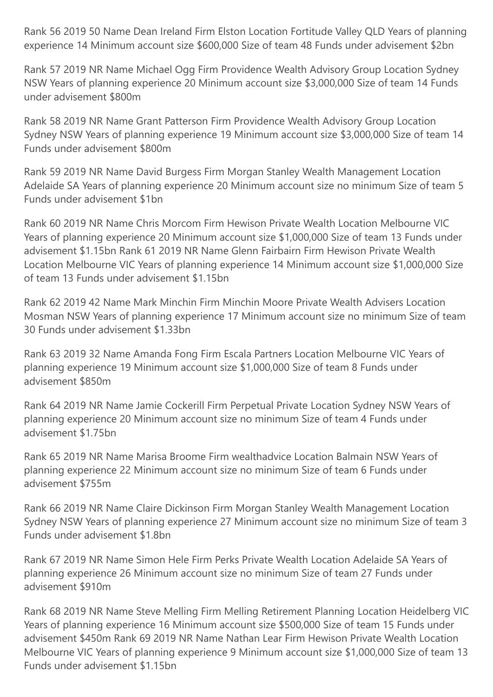Rank 56 2019 50 Name Dean Ireland Firm Elston Location Fortitude Valley QLD Years of planning experience 14 Minimum account size \$600,000 Size of team 48 Funds under advisement \$2bn

Rank 57 2019 NR Name Michael Ogg Firm Providence Wealth Advisory Group Location Sydney NSW Years of planning experience 20 Minimum account size \$3,000,000 Size of team 14 Funds under advisement \$800m

Rank 58 2019 NR Name Grant Patterson Firm Providence Wealth Advisory Group Location Sydney NSW Years of planning experience 19 Minimum account size \$3,000,000 Size of team 14 Funds under advisement \$800m

Rank 59 2019 NR Name David Burgess Firm Morgan Stanley Wealth Management Location Adelaide SA Years of planning experience 20 Minimum account size no minimum Size of team 5 Funds under advisement \$1bn

Rank 60 2019 NR Name Chris Morcom Firm Hewison Private Wealth Location Melbourne VIC Years of planning experience 20 Minimum account size \$1,000,000 Size of team 13 Funds under advisement \$1.15bn Rank 61 2019 NR Name Glenn Fairbairn Firm Hewison Private Wealth Location Melbourne VIC Years of planning experience 14 Minimum account size \$1,000,000 Size of team 13 Funds under advisement \$1.15bn

Rank 62 2019 42 Name Mark Minchin Firm Minchin Moore Private Wealth Advisers Location Mosman NSW Years of planning experience 17 Minimum account size no minimum Size of team 30 Funds under advisement \$1.33bn

Rank 63 2019 32 Name Amanda Fong Firm Escala Partners Location Melbourne VIC Years of planning experience 19 Minimum account size \$1,000,000 Size of team 8 Funds under advisement \$850m

Rank 64 2019 NR Name Jamie Cockerill Firm Perpetual Private Location Sydney NSW Years of planning experience 20 Minimum account size no minimum Size of team 4 Funds under advisement \$1.75bn

Rank 65 2019 NR Name Marisa Broome Firm wealthadvice Location Balmain NSW Years of planning experience 22 Minimum account size no minimum Size of team 6 Funds under advisement \$755m

Rank 66 2019 NR Name Claire Dickinson Firm Morgan Stanley Wealth Management Location Sydney NSW Years of planning experience 27 Minimum account size no minimum Size of team 3 Funds under advisement \$1.8bn

Rank 67 2019 NR Name Simon Hele Firm Perks Private Wealth Location Adelaide SA Years of planning experience 26 Minimum account size no minimum Size of team 27 Funds under advisement \$910m

Rank 68 2019 NR Name Steve Melling Firm Melling Retirement Planning Location Heidelberg VIC Years of planning experience 16 Minimum account size \$500,000 Size of team 15 Funds under advisement \$450m Rank 69 2019 NR Name Nathan Lear Firm Hewison Private Wealth Location Melbourne VIC Years of planning experience 9 Minimum account size \$1,000,000 Size of team 13 Funds under advisement \$1.15bn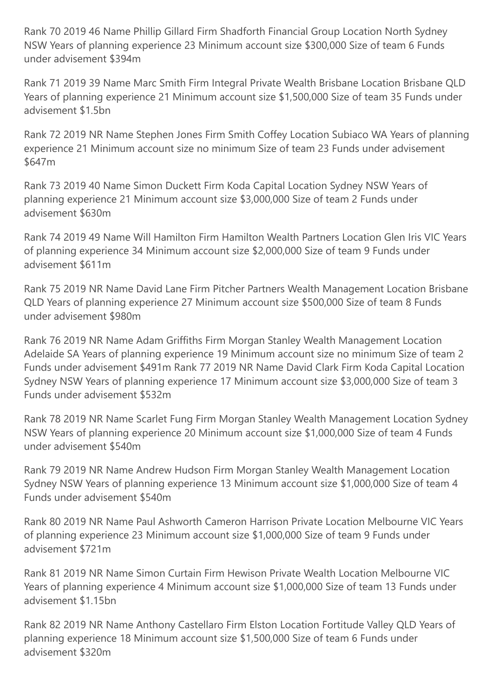Rank 70 2019 46 Name Phillip Gillard Firm Shadforth Financial Group Location North Sydney NSW Years of planning experience 23 Minimum account size \$300,000 Size of team 6 Funds under advisement \$394m

Rank 71 2019 39 Name Marc Smith Firm Integral Private Wealth Brisbane Location Brisbane QLD Years of planning experience 21 Minimum account size \$1,500,000 Size of team 35 Funds under advisement \$1.5bn

Rank 72 2019 NR Name Stephen Jones Firm Smith Coffey Location Subiaco WA Years of planning experience 21 Minimum account size no minimum Size of team 23 Funds under advisement \$647m

Rank 73 2019 40 Name Simon Duckett Firm Koda Capital Location Sydney NSW Years of planning experience 21 Minimum account size \$3,000,000 Size of team 2 Funds under advisement \$630m

Rank 74 2019 49 Name Will Hamilton Firm Hamilton Wealth Partners Location Glen Iris VIC Years of planning experience 34 Minimum account size \$2,000,000 Size of team 9 Funds under advisement \$611m

Rank 75 2019 NR Name David Lane Firm Pitcher Partners Wealth Management Location Brisbane QLD Years of planning experience 27 Minimum account size \$500,000 Size of team 8 Funds under advisement \$980m

Rank 76 2019 NR Name Adam Griffiths Firm Morgan Stanley Wealth Management Location Adelaide SA Years of planning experience 19 Minimum account size no minimum Size of team 2 Funds under advisement \$491m Rank 77 2019 NR Name David Clark Firm Koda Capital Location Sydney NSW Years of planning experience 17 Minimum account size \$3,000,000 Size of team 3 Funds under advisement \$532m

Rank 78 2019 NR Name Scarlet Fung Firm Morgan Stanley Wealth Management Location Sydney NSW Years of planning experience 20 Minimum account size \$1,000,000 Size of team 4 Funds under advisement \$540m

Rank 79 2019 NR Name Andrew Hudson Firm Morgan Stanley Wealth Management Location Sydney NSW Years of planning experience 13 Minimum account size \$1,000,000 Size of team 4 Funds under advisement \$540m

Rank 80 2019 NR Name Paul Ashworth Cameron Harrison Private Location Melbourne VIC Years of planning experience 23 Minimum account size \$1,000,000 Size of team 9 Funds under advisement \$721m

Rank 81 2019 NR Name Simon Curtain Firm Hewison Private Wealth Location Melbourne VIC Years of planning experience 4 Minimum account size \$1,000,000 Size of team 13 Funds under advisement \$1.15bn

Rank 82 2019 NR Name Anthony Castellaro Firm Elston Location Fortitude Valley QLD Years of planning experience 18 Minimum account size \$1,500,000 Size of team 6 Funds under advisement \$320m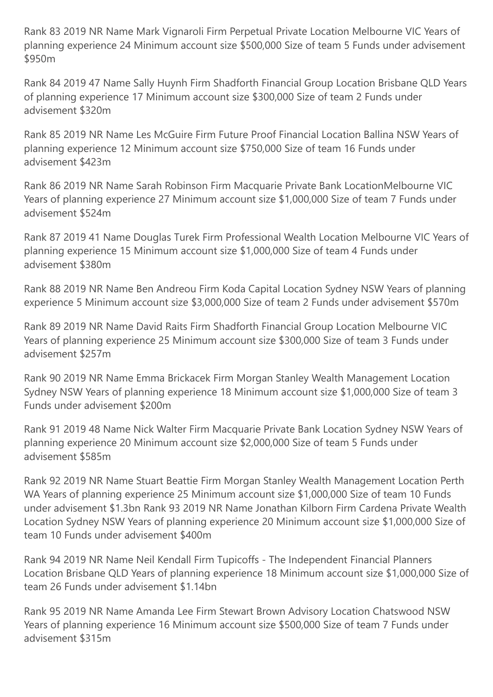Rank 83 2019 NR Name Mark Vignaroli Firm Perpetual Private Location Melbourne VIC Years of planning experience 24 Minimum account size \$500,000 Size of team 5 Funds under advisement \$950m

Rank 84 2019 47 Name Sally Huynh Firm Shadforth Financial Group Location Brisbane QLD Years of planning experience 17 Minimum account size \$300,000 Size of team 2 Funds under advisement \$320m

Rank 85 2019 NR Name Les McGuire Firm Future Proof Financial Location Ballina NSW Years of planning experience 12 Minimum account size \$750,000 Size of team 16 Funds under advisement \$423m

Rank 86 2019 NR Name Sarah Robinson Firm Macquarie Private Bank LocationMelbourne VIC Years of planning experience 27 Minimum account size \$1,000,000 Size of team 7 Funds under advisement \$524m

Rank 87 2019 41 Name Douglas Turek Firm Professional Wealth Location Melbourne VIC Years of planning experience 15 Minimum account size \$1,000,000 Size of team 4 Funds under advisement \$380m

Rank 88 2019 NR Name Ben Andreou Firm Koda Capital Location Sydney NSW Years of planning experience 5 Minimum account size \$3,000,000 Size of team 2 Funds under advisement \$570m

Rank 89 2019 NR Name David Raits Firm Shadforth Financial Group Location Melbourne VIC Years of planning experience 25 Minimum account size \$300,000 Size of team 3 Funds under advisement \$257m

Rank 90 2019 NR Name Emma Brickacek Firm Morgan Stanley Wealth Management Location Sydney NSW Years of planning experience 18 Minimum account size \$1,000,000 Size of team 3 Funds under advisement \$200m

Rank 91 2019 48 Name Nick Walter Firm Macquarie Private Bank Location Sydney NSW Years of planning experience 20 Minimum account size \$2,000,000 Size of team 5 Funds under advisement \$585m

Rank 92 2019 NR Name Stuart Beattie Firm Morgan Stanley Wealth Management Location Perth WA Years of planning experience 25 Minimum account size \$1,000,000 Size of team 10 Funds under advisement \$1.3bn Rank 93 2019 NR Name Jonathan Kilborn Firm Cardena Private Wealth Location Sydney NSW Years of planning experience 20 Minimum account size \$1,000,000 Size of team 10 Funds under advisement \$400m

Rank 94 2019 NR Name Neil Kendall Firm Tupicoffs - The Independent Financial Planners Location Brisbane QLD Years of planning experience 18 Minimum account size \$1,000,000 Size of team 26 Funds under advisement \$1.14bn

Rank 95 2019 NR Name Amanda Lee Firm Stewart Brown Advisory Location Chatswood NSW Years of planning experience 16 Minimum account size \$500,000 Size of team 7 Funds under advisement \$315m